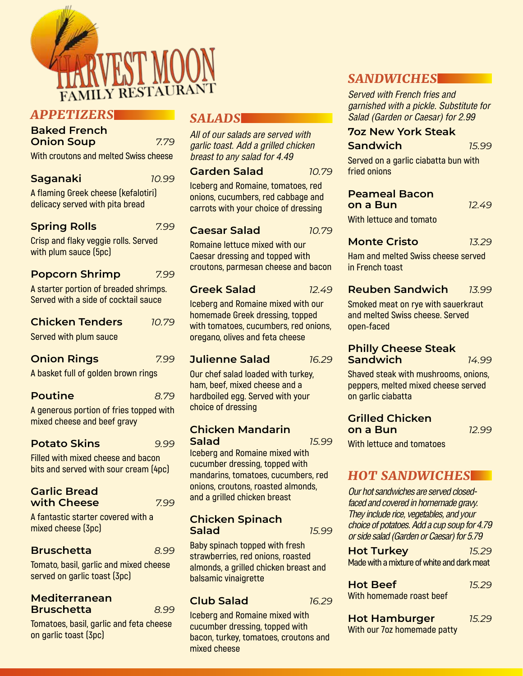

# *APPETIZERS*

| <b>Baked French</b> |      |
|---------------------|------|
| <b>Onion Soup</b>   | 7.79 |

**With croutons and melted Swiss cheese** 

| <b>Saganaki</b>                     | 10.99 |
|-------------------------------------|-------|
| A flaming Greek cheese (kefalotiri) |       |
| heard etin dtiw havnes voesilah     |       |

**delicacy served with pita bread Spring Rolls** *7.99*

**Crisp and flaky veggie rolls. Served with plum sauce (5pc)**

| <b>Popcorn Shrimp</b> | 7.99 |
|-----------------------|------|
|-----------------------|------|

**A starter portion of breaded shrimps. Served with a side of cocktail sauce**

| <b>Chicken Tenders</b> | 10.79 |
|------------------------|-------|
| Served with plum sauce |       |

## **Onion Rings** *7.99*

**A basket full of golden brown rings**

| <b>Poutine</b> | 8.79 |
|----------------|------|
|----------------|------|

**A generous portion of fries topped with mixed cheese and beef gravy**

## **Potato Skins** *9.99*

**Filled with mixed cheese and bacon bits and served with sour cream (4pc)**

#### **Garlic Bread with Cheese** *7.99*

**A fantastic starter covered with a mixed cheese (3pc)**

### **Bruschetta** *8.99*

**Tomato, basil, garlic and mixed cheese served on garlic toast (3pc)**

#### **Mediterranean Bruschetta** *8.99*

**Tomatoes, basil, garlic and feta cheese on garlic toast (3pc)**

# *SALADS*

*All of our salads are served with garlic toast. Add a grilled chicken breast to any salad for 4.49*

## **Garden Salad** *10.79*

**Iceberg and Romaine, tomatoes, red onions, cucumbers, red cabbage and carrots with your choice of dressing**

## **Caesar Salad** *10.79*

**Romaine lettuce mixed with our Caesar dressing and topped with croutons, parmesan cheese and bacon**

## **Greek Salad** *12.49*

**Iceberg and Romaine mixed with our homemade Greek dressing, topped with tomatoes, cucumbers, red onions, oregano, olives and feta cheese**

# **Julienne Salad** *16.29*

**Our chef salad loaded with turkey, ham, beef, mixed cheese and a hardboiled egg. Served with your choice of dressing**

#### **Chicken Mandarin Salad** *15.99*

**Iceberg and Romaine mixed with cucumber dressing, topped with mandarins, tomatoes, cucumbers, red onions, croutons, roasted almonds, and a grilled chicken breast**

#### **Chicken Spinach Salad** *15.99*

**Baby spinach topped with fresh strawberries, red onions, roasted almonds, a grilled chicken breast and balsamic vinaigrette**

## **Club Salad** *16.29*

**Iceberg and Romaine mixed with cucumber dressing, topped with bacon, turkey, tomatoes, croutons and mixed cheese**

# *SANDWICHES*

*Served with French fries and garnished with a pickle. Substitute for Salad (Garden or Caesar) for 2.99*

## **7oz New York Steak**

**Sandwich** *15.99*

**Served on a garlic ciabatta bun with fried onions**

## **Peameal Bacon**

**on a Bun** *12.49*

**With lettuce and tomato**

# **Monte Cristo** *13.29*

**Ham and melted Swiss cheese served in French toast**

# **Reuben Sandwich** *13.99*

**Smoked meat on rye with sauerkraut and melted Swiss cheese. Served open-faced**

#### **Philly Cheese Steak Sandwich** *14.99*

**Shaved steak with mushrooms, onions, peppers, melted mixed cheese served on garlic ciabatta**

# **Grilled Chicken**

**on a Bun** *12.99*

**With lettuce and tomatoes**

# *HOT SANDWICHES*

*Our hot sandwiches are served closedfaced and covered in homemade gravy. They include rice, vegetables, and your choice of potatoes. Add a cup soup for 4.79 or side salad (Garden or Caesar) for 5.79*

| <b>Hot Turkey</b>                          | 15.29 |
|--------------------------------------------|-------|
| Made with a mixture of white and dark meat |       |

| <b>Hot Beef</b>          | 15.29 |
|--------------------------|-------|
| With homemade roast beef |       |

**Hot Hamburger** *15.29* **With our 7oz homemade patty**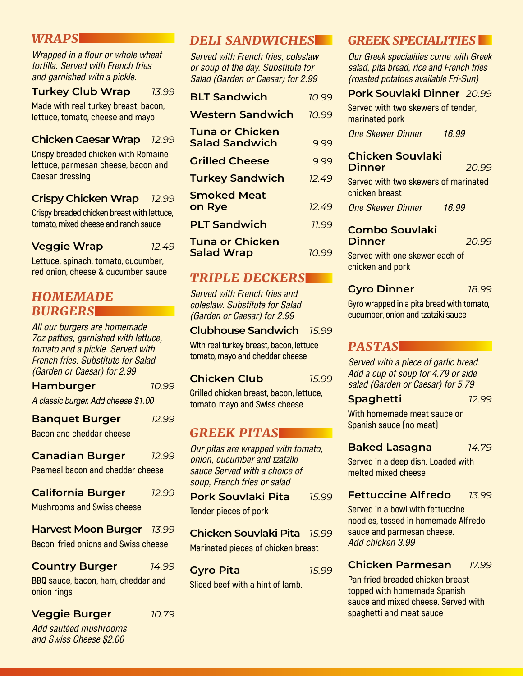## *WRAPS*

Wrapped in a flour or whole wheat *tortilla. Served with French fries and garnished with a pickle.* 

### **Turkey Club Wrap** *13.99*

**Made with real turkey breast, bacon, lettuce, tomato, cheese and mayo**

#### **Chicken Caesar Wrap** *12.99*

**Crispy breaded chicken with Romaine lettuce, parmesan cheese, bacon and Caesar dressing**

#### **Crispy Chicken Wrap** *12.99*

**Crispy breaded chicken breast with lettuce, tomato, mixed cheese and ranch sauce**

### **Veggie Wrap** *12.49*

**Lettuce, spinach, tomato, cucumber, red onion, cheese & cucumber sauce**

# *HOMEMADE BURGERS*

*All our burgers are homemade 7oz patties, garnished with lettuce, tomato and a pickle. Served with French fries. Substitute for Salad (Garden or Caesar) for 2.99*

| <b>Hamburger</b>                    | 10.99 |
|-------------------------------------|-------|
| A classic burger. Add cheese \$1.00 |       |
| <b>Banquet Burger</b>               | 12.99 |

**Bacon and cheddar cheese**

| <b>Canadian Burger</b> | 12.99 |
|------------------------|-------|
|------------------------|-------|

**Peameal bacon and cheddar cheese**

| <b>California Burger</b>          | 12.99 |
|-----------------------------------|-------|
| <b>Mushrooms and Swiss cheese</b> |       |

**Harvest Moon Burger** *13.99* **Bacon, fried onions and Swiss cheese**

**Country Burger** *14.99*

**BBQ sauce, bacon, ham, cheddar and onion rings**

| <b>Veggie Burger</b> |  |
|----------------------|--|
|----------------------|--|

*Add sautéed mushrooms and Swiss Cheese \$2.00*

# *DELI SANDWICHES*

*Served with French fries, coleslaw or soup of the day. Substitute for Salad (Garden or Caesar) for 2.99*

| <b>BLT Sandwich</b>                             | 10.99 |
|-------------------------------------------------|-------|
| <b>Western Sandwich</b>                         | 10.99 |
| <b>Tuna or Chicken</b><br><b>Salad Sandwich</b> | 9.99  |
| <b>Grilled Cheese</b>                           | 9.99  |
| <b>Turkey Sandwich</b>                          | 12.49 |
| <b>Smoked Meat</b><br>on Rye                    | 12.49 |
| <b>PLT Sandwich</b>                             | 11.99 |
| <b>Tuna or Chicken</b><br><b>Salad Wrap</b>     | 10.99 |

# *TRIPLE DECKERS*

*Served with French fries and coleslaw. Substitute for Salad (Garden or Caesar) for 2.99*

#### **Clubhouse Sandwich** *15.99*

**With real turkey breast, bacon, lettuce tomato, mayo and cheddar cheese**

#### **Chicken Club** *15.99*

**Grilled chicken breast, bacon, lettuce, tomato, mayo and Swiss cheese**

# *GREEK PITAS*

*Our pitas are wrapped with tomato, onion, cucumber and tzatziki sauce Served with a choice of soup, French fries or salad*

**Pork Souvlaki Pita** *15.99* **Tender pieces of pork**

**Chicken Souvlaki Pita** *15.99* **Marinated pieces of chicken breast** 

**Gyro Pita** *15.99* **Sliced beef with a hint of lamb.** 

# *GREEK SPECIALITIES*

*Our Greek specialities come with Greek salad, pita bread, rice and French fries (roasted potatoes available Fri-Sun)*

## **Pork Souvlaki Dinner** *20.99*

**Served with two skewers of tender, marinated pork**

*One Skewer Dinner 16.99*

#### **Chicken Souvlaki Dinner** *20.99*

**Served with two skewers of marinated chicken breast**

*One Skewer Dinner 16.99*

#### **Combo Souvlaki Dinner** *20.99*

**Served with one skewer each of chicken and pork**

### **Gyro Dinner** *18.99*

**Gyro wrapped in a pita bread with tomato, cucumber, onion and tzatziki sauce**

# *PASTAS*

*Served with a piece of garlic bread. Add a cup of soup for 4.79 or side salad (Garden or Caesar) for 5.79*

#### **Spaghetti** *12.99*

**With homemade meat sauce or Spanish sauce (no meat)**

### **Baked Lasagna** *14.79*

**Served in a deep dish. Loaded with melted mixed cheese**

### **Fettuccine Alfredo** *13.99*

**Served in a bowl with fettuccine noodles, tossed in homemade Alfredo sauce and parmesan cheese.**  *Add chicken 3.99*

### **Chicken Parmesan** *17.99*

**Pan fried breaded chicken breast topped with homemade Spanish sauce and mixed cheese. Served with spaghetti and meat sauce**

**Veggie Burger** *10.79*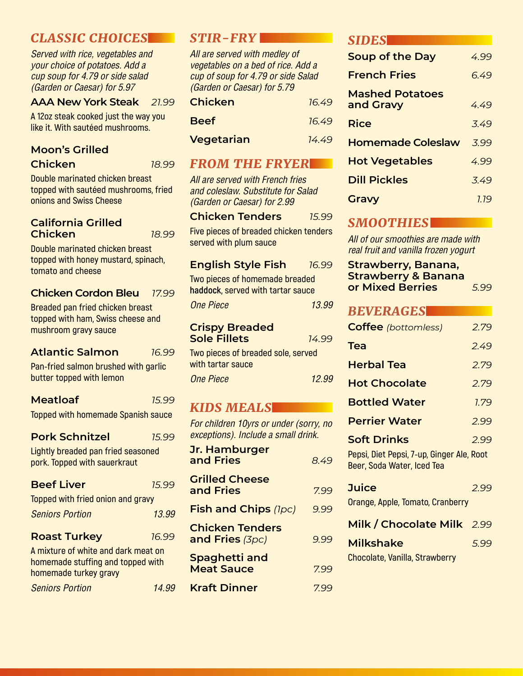# *CLASSIC CHOICES*

*Served with rice, vegetables and your choice of potatoes. Add a cup soup for 4.79 or side salad (Garden or Caesar) for 5.97*

#### **AAA New York Steak** *21.99*

**A 12oz steak cooked just the way you like it. With sautéed mushrooms.**

# **Moon's Grilled**

**Chicken** *18.99*  **Double marinated chicken breast** 

**topped with sautéed mushrooms, fried onions and Swiss Cheese**

#### **California Grilled Chicken** *18.99*

**Double marinated chicken breast topped with honey mustard, spinach, tomato and cheese**

## **Chicken Cordon Bleu** *17.99*

**Breaded pan fried chicken breast topped with ham, Swiss cheese and mushroom gravy sauce**

### **Atlantic Salmon** *16.99*

**Pan-fried salmon brushed with garlic butter topped with lemon**

| <b>Meatloaf</b> |  |
|-----------------|--|
|-----------------|--|

**Topped with homemade Spanish sauce**

**Meatloaf** *15.99*

| <b>Pork Schnitzel</b> | 15.99 |
|-----------------------|-------|
|-----------------------|-------|

**Lightly breaded pan fried seasoned pork. Topped with sauerkraut**

| <b>Beef Liver</b>                 | 75.99 |  |
|-----------------------------------|-------|--|
| Topped with fried onion and gravy |       |  |
| <b>Seniors Portion</b>            | 13.99 |  |
| <b>Roast Turkey</b>               | 16.99 |  |

**A mixture of white and dark meat on homemade stuffing and topped with homemade turkey gravy**

*Seniors Portion 14.99*

## *STIR-FRY*

*All are served with medley of vegetables on a bed of rice. Add a cup of soup for 4.79 or side Salad (Garden or Caesar) for 5.79*

| <b>Chicken</b>    | 16.49 |
|-------------------|-------|
| <b>Beef</b>       | 16.49 |
| <b>Vegetarian</b> | 14.49 |

## *FROM THE FRYER*

*All are served with French fries and coleslaw. Substitute for Salad (Garden or Caesar) for 2.99*

#### **Chicken Tenders** *15.99*

**Five pieces of breaded chicken tenders served with plum sauce**

#### **English Style Fish** *16.99*

**Two pieces of homemade breaded haddock, served with tartar sauce**

*One Piece 13.99*

#### **Crispy Breaded Sole Fillets** *14.99*

| Two pieces of breaded sole, served |       |
|------------------------------------|-------|
| with tartar sauce                  |       |
| One Piece                          | 12.99 |

# *KIDS MEALS*

*For children 10yrs or under (sorry, no exceptions). Include a small drink.*

| <b>Jr. Hamburger</b><br>and Fries                | 849  |
|--------------------------------------------------|------|
| <b>Grilled Cheese</b><br>and Fries               | 799  |
| <b>Fish and Chips (1pc)</b>                      | 9.99 |
| <b>Chicken Tenders</b><br><b>and Fries (3pc)</b> | 9.99 |
| <b>Spaghetti and</b><br><b>Meat Sauce</b>        | 7.99 |
| <b>Kraft Dinner</b>                              | 799  |

## *SIDES*

| <b>Soup of the Day</b>              | 4.99 |
|-------------------------------------|------|
| <b>French Fries</b>                 | 6.49 |
| <b>Mashed Potatoes</b><br>and Gravy | 449  |
| Rice                                | 3.49 |
| <b>Homemade Coleslaw</b>            | 3.99 |
| <b>Hot Vegetables</b>               | 4.99 |
| <b>Dill Pickles</b>                 | 3.49 |
| Gravy                               | 1.19 |

# *SMOOTHIES*

*All of our smoothies are made with real fruit and vanilla frozen yogurt*

| <b>Strawberry, Banana,</b>     |      |
|--------------------------------|------|
| <b>Strawberry &amp; Banana</b> |      |
| or Mixed Berries               | 5.99 |

# *BEVERAGES*

| <b>Coffee</b> (bottomless)                                              | 2.79 |
|-------------------------------------------------------------------------|------|
| Tea                                                                     | 2.49 |
| <b>Herbal Tea</b>                                                       | 2.79 |
| <b>Hot Chocolate</b>                                                    | 2.79 |
| <b>Bottled Water</b>                                                    | 1.79 |
| <b>Perrier Water</b>                                                    | 2.99 |
| <b>Soft Drinks</b>                                                      | 2.99 |
| Pepsi, Diet Pepsi, 7-up, Ginger Ale, Root<br>Beer, Soda Water, Iced Tea |      |
| Juice                                                                   | 2.99 |
| Orange, Apple, Tomato, Cranberry                                        |      |
| Milk / Chocolate Milk 2.99                                              |      |
| Milkshake                                                               | 5.99 |
| Chocolate, Vanilla, Strawberry                                          |      |
|                                                                         |      |